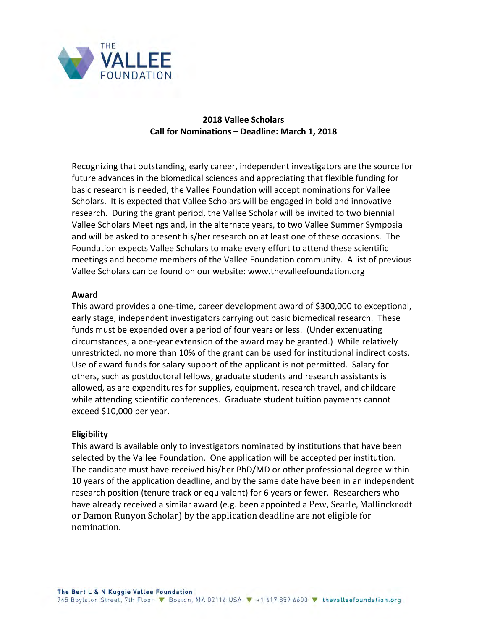

# **2018 Vallee Scholars Call for Nominations - Deadline: March 1, 2018**

Recognizing that outstanding, early career, independent investigators are the source for future advances in the biomedical sciences and appreciating that flexible funding for basic research is needed, the Vallee Foundation will accept nominations for Vallee Scholars. It is expected that Vallee Scholars will be engaged in bold and innovative research. During the grant period, the Vallee Scholar will be invited to two biennial Vallee Scholars Meetings and, in the alternate years, to two Vallee Summer Symposia and will be asked to present his/her research on at least one of these occasions. The Foundation expects Vallee Scholars to make every effort to attend these scientific meetings and become members of the Vallee Foundation community. A list of previous Vallee Scholars can be found on our website: www.thevalleefoundation.org

#### **Award**

This award provides a one-time, career development award of \$300,000 to exceptional, early stage, independent investigators carrying out basic biomedical research. These funds must be expended over a period of four years or less. (Under extenuating circumstances, a one-year extension of the award may be granted.) While relatively unrestricted, no more than 10% of the grant can be used for institutional indirect costs. Use of award funds for salary support of the applicant is not permitted. Salary for others, such as postdoctoral fellows, graduate students and research assistants is allowed, as are expenditures for supplies, equipment, research travel, and childcare while attending scientific conferences. Graduate student tuition payments cannot exceed \$10,000 per year.

#### **Eligibility**

This award is available only to investigators nominated by institutions that have been selected by the Vallee Foundation. One application will be accepted per institution. The candidate must have received his/her PhD/MD or other professional degree within 10 years of the application deadline, and by the same date have been in an independent research position (tenure track or equivalent) for 6 years or fewer. Researchers who have already received a similar award (e.g. been appointed a Pew, Searle, Mallinckrodt or Damon Runyon Scholar) by the application deadline are not eligible for nomination.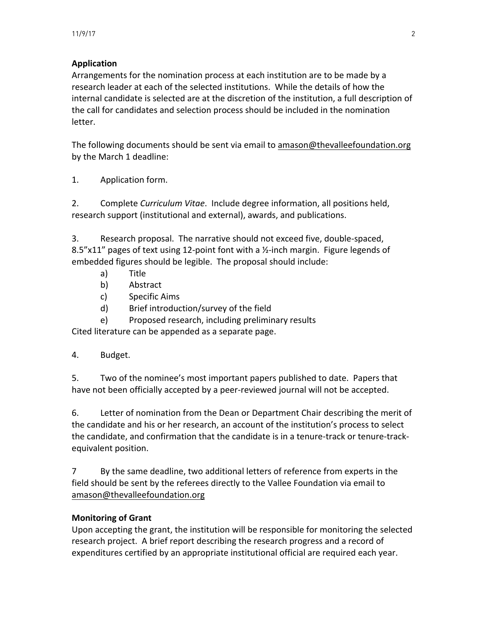# **Application**

Arrangements for the nomination process at each institution are to be made by a research leader at each of the selected institutions. While the details of how the internal candidate is selected are at the discretion of the institution, a full description of the call for candidates and selection process should be included in the nomination letter. 

The following documents should be sent via email to amason@thevalleefoundation.org by the March 1 deadline:

1. Application form.

2. Complete *Curriculum Vitae*. Include degree information, all positions held, research support (institutional and external), awards, and publications.

3. Research proposal. The narrative should not exceed five, double-spaced, 8.5"x11" pages of text using 12-point font with a  $\frac{1}{2}$ -inch margin. Figure legends of embedded figures should be legible. The proposal should include:

- a) Title
- b) Abstract
- c) Specific Aims
- d) Brief introduction/survey of the field
- e) Proposed research, including preliminary results

Cited literature can be appended as a separate page.

### 4. Budget.

5. Two of the nominee's most important papers published to date. Papers that have not been officially accepted by a peer-reviewed journal will not be accepted.

6. Letter of nomination from the Dean or Department Chair describing the merit of the candidate and his or her research, an account of the institution's process to select the candidate, and confirmation that the candidate is in a tenure-track or tenure-trackequivalent position.

7 By the same deadline, two additional letters of reference from experts in the field should be sent by the referees directly to the Vallee Foundation via email to amason@thevalleefoundation.org

### **Monitoring of Grant**

Upon accepting the grant, the institution will be responsible for monitoring the selected research project. A brief report describing the research progress and a record of expenditures certified by an appropriate institutional official are required each year.